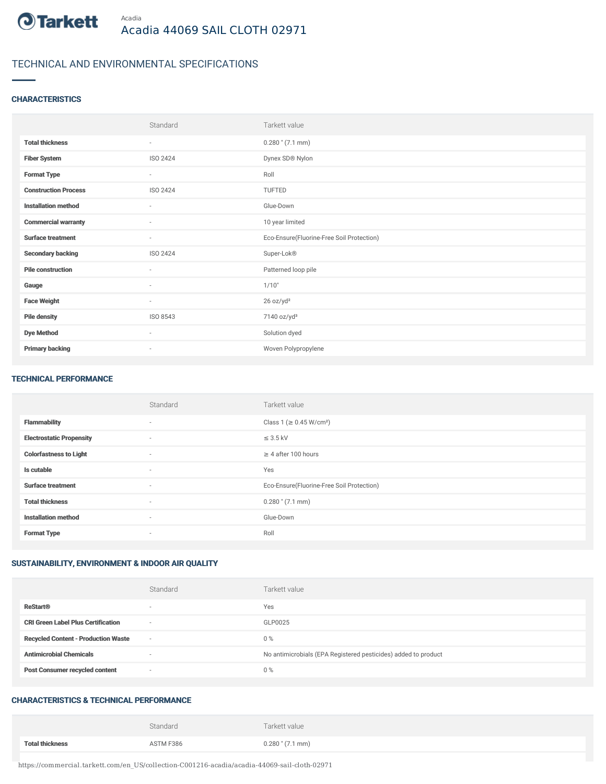

# TECHNICAL AND ENVIRONMENTAL SPECIFICATIONS

### **CHARACTERISTICS**

|                             | Standard        | Tarkett value                             |
|-----------------------------|-----------------|-------------------------------------------|
| <b>Total thickness</b>      | $\sim$          | $0.280$ " $(7.1$ mm)                      |
| <b>Fiber System</b>         | ISO 2424        | Dynex SD® Nylon                           |
| <b>Format Type</b>          | $\sim$          | Roll                                      |
| <b>Construction Process</b> | <b>ISO 2424</b> | TUFTED                                    |
| <b>Installation method</b>  | $\sim$          | Glue-Down                                 |
| <b>Commercial warranty</b>  | $\sim$          | 10 year limited                           |
| <b>Surface treatment</b>    | $\sim$          | Eco-Ensure(Fluorine-Free Soil Protection) |
| <b>Secondary backing</b>    | ISO 2424        | Super-Lok®                                |
| <b>Pile construction</b>    | $\sim$          | Patterned loop pile                       |
| Gauge                       | $\sim$          | 1/10"                                     |
| <b>Face Weight</b>          | $\sim$          | 26 oz/yd <sup>2</sup>                     |
| <b>Pile density</b>         | ISO 8543        | 7140 oz/yd <sup>3</sup>                   |
| <b>Dye Method</b>           | $\sim$          | Solution dyed                             |
| <b>Primary backing</b>      | ٠               | Woven Polypropylene                       |

#### TECHNICAL PERFORMANCE

|                                 | Standard                 | Tarkett value                             |
|---------------------------------|--------------------------|-------------------------------------------|
| <b>Flammability</b>             | $\overline{\phantom{a}}$ | Class 1 ( $\geq$ 0.45 W/cm <sup>2</sup> ) |
| <b>Electrostatic Propensity</b> | $\sim$                   | $\leq$ 3.5 kV                             |
| <b>Colorfastness to Light</b>   | $\sim$                   | $\geq 4$ after 100 hours                  |
| Is cutable                      | $\sim$                   | Yes                                       |
| <b>Surface treatment</b>        | $\sim$                   | Eco-Ensure(Fluorine-Free Soil Protection) |
| <b>Total thickness</b>          | $\sim$                   | $0.280$ " (7.1 mm)                        |
| <b>Installation method</b>      | $\sim$                   | Glue-Down                                 |
| <b>Format Type</b>              | $\sim$                   | Roll                                      |

# SUSTAINABILITY, ENVIRONMENT & INDOOR AIR QUALITY

|                                            | Standard                 | Tarkett value                                                  |
|--------------------------------------------|--------------------------|----------------------------------------------------------------|
| <b>ReStart®</b>                            | $\overline{\phantom{a}}$ | Yes                                                            |
| <b>CRI Green Label Plus Certification</b>  | $\sim$                   | GLP0025                                                        |
| <b>Recycled Content - Production Waste</b> | $\sim$                   | 0%                                                             |
| <b>Antimicrobial Chemicals</b>             | $\overline{\phantom{a}}$ | No antimicrobials (EPA Registered pesticides) added to product |
| <b>Post Consumer recycled content</b>      | $\sim$                   | 0%                                                             |

### CHARACTERISTICS & TECHNICAL PERFORMANCE

|                        | Standard  | Tarkett value      |
|------------------------|-----------|--------------------|
| <b>Total thickness</b> | ASTM F386 | $0.280$ " (7.1 mm) |

https://commercial.tarkett.com/en\_US/collection-C001216-acadia/acadia-44069-sail-cloth-02971